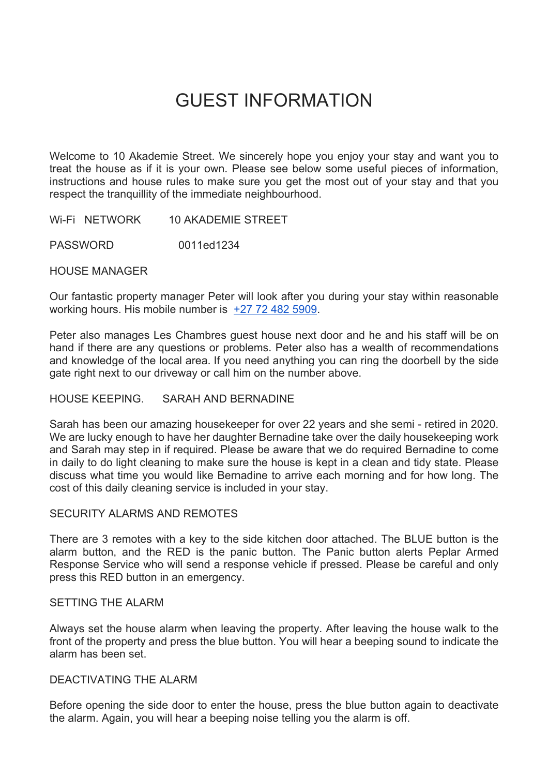# GUEST INFORMATION

Welcome to 10 Akademie Street. We sincerely hope you enjoy your stay and want you to treat the house as if it is your own. Please see below some useful pieces of information, instructions and house rules to make sure you get the most out of your stay and that you respect the tranquillity of the immediate neighbourhood.

WI-FI NETWORK 10 AKADEMIE STREET

PASSWORD 0011ed1234

HOUSE MANAGER

Our fantastic property manager Peter will look after you during your stay within reasonable working hours. His mobile number is +27 72 482 5909.

Peter also manages Les Chambres guest house next door and he and his staff will be on hand if there are any questions or problems. Peter also has a wealth of recommendations and knowledge of the local area. If you need anything you can ring the doorbell by the side gate right next to our driveway or call him on the number above.

### HOUSE KEEPING. SARAH AND BERNADINE

Sarah has been our amazing housekeeper for over 22 years and she semi - retired in 2020. We are lucky enough to have her daughter Bernadine take over the daily housekeeping work and Sarah may step in if required. Please be aware that we do required Bernadine to come in daily to do light cleaning to make sure the house is kept in a clean and tidy state. Please discuss what time you would like Bernadine to arrive each morning and for how long. The cost of this daily cleaning service is included in your stay.

### SECURITY ALARMS AND REMOTES

There are 3 remotes with a key to the side kitchen door attached. The BLUE button is the alarm button, and the RED is the panic button. The Panic button alerts Peplar Armed Response Service who will send a response vehicle if pressed. Please be careful and only press this RED button in an emergency.

# SETTING THE ALARM

Always set the house alarm when leaving the property. After leaving the house walk to the front of the property and press the blue button. You will hear a beeping sound to indicate the alarm has been set.

### DEACTIVATING THE ALARM

Before opening the side door to enter the house, press the blue button again to deactivate the alarm. Again, you will hear a beeping noise telling you the alarm is off.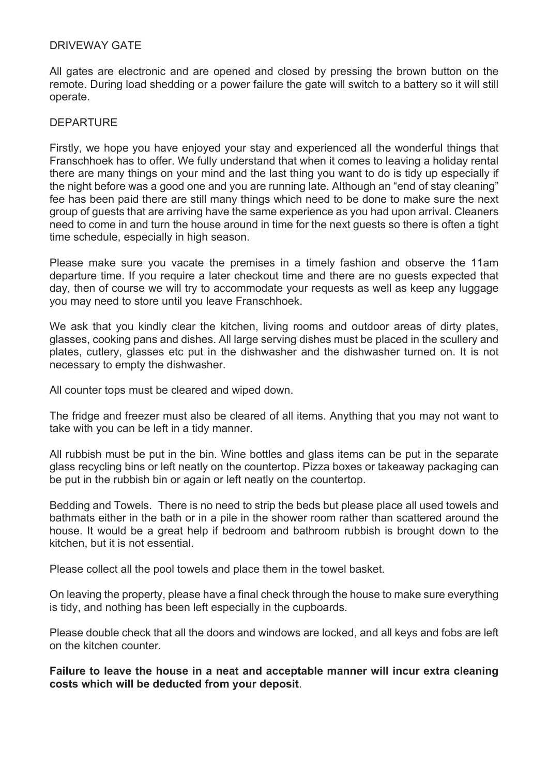# DRIVEWAY GATE

All gates are electronic and are opened and closed by pressing the brown button on the remote. During load shedding or a power failure the gate will switch to a battery so it will still operate.

## **DEPARTURE**

Firstly, we hope you have enjoyed your stay and experienced all the wonderful things that Franschhoek has to offer. We fully understand that when it comes to leaving a holiday rental there are many things on your mind and the last thing you want to do is tidy up especially if the night before was a good one and you are running late. Although an "end of stay cleaning" fee has been paid there are still many things which need to be done to make sure the next group of guests that are arriving have the same experience as you had upon arrival. Cleaners need to come in and turn the house around in time for the next guests so there is often a tight time schedule, especially in high season.

Please make sure you vacate the premises in a timely fashion and observe the 11am departure time. If you require a later checkout time and there are no guests expected that day, then of course we will try to accommodate your requests as well as keep any luggage you may need to store until you leave Franschhoek.

We ask that you kindly clear the kitchen, living rooms and outdoor areas of dirty plates, glasses, cooking pans and dishes. All large serving dishes must be placed in the scullery and plates, cutlery, glasses etc put in the dishwasher and the dishwasher turned on. It is not necessary to empty the dishwasher.

All counter tops must be cleared and wiped down.

The fridge and freezer must also be cleared of all items. Anything that you may not want to take with you can be left in a tidy manner.

All rubbish must be put in the bin. Wine bottles and glass items can be put in the separate glass recycling bins or left neatly on the countertop. Pizza boxes or takeaway packaging can be put in the rubbish bin or again or left neatly on the countertop.

Bedding and Towels. There is no need to strip the beds but please place all used towels and bathmats either in the bath or in a pile in the shower room rather than scattered around the house. It would be a great help if bedroom and bathroom rubbish is brought down to the kitchen, but it is not essential.

Please collect all the pool towels and place them in the towel basket.

On leaving the property, please have a final check through the house to make sure everything is tidy, and nothing has been left especially in the cupboards.

Please double check that all the doors and windows are locked, and all keys and fobs are left on the kitchen counter.

**Failure to leave the house in a neat and acceptable manner will incur extra cleaning costs which will be deducted from your deposit**.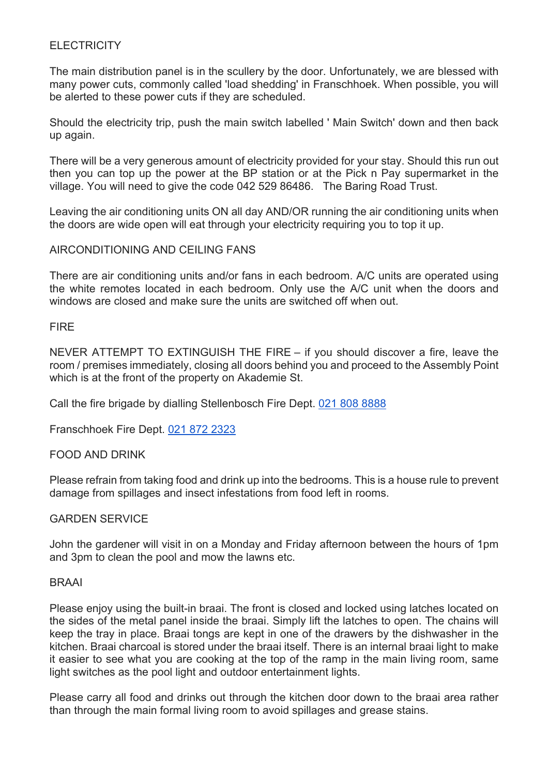# **ELECTRICITY**

The main distribution panel is in the scullery by the door. Unfortunately, we are blessed with many power cuts, commonly called 'load shedding' in Franschhoek. When possible, you will be alerted to these power cuts if they are scheduled.

Should the electricity trip, push the main switch labelled ' Main Switch' down and then back up again.

There will be a very generous amount of electricity provided for your stay. Should this run out then you can top up the power at the BP station or at the Pick n Pay supermarket in the village. You will need to give the code 042 529 86486. The Baring Road Trust.

Leaving the air conditioning units ON all day AND/OR running the air conditioning units when the doors are wide open will eat through your electricity requiring you to top it up.

## AIRCONDITIONING AND CEILING FANS

There are air conditioning units and/or fans in each bedroom. A/C units are operated using the white remotes located in each bedroom. Only use the A/C unit when the doors and windows are closed and make sure the units are switched off when out.

## **FIRE**

NEVER ATTEMPT TO EXTINGUISH THE FIRE – if you should discover a fire, leave the room / premises immediately, closing all doors behind you and proceed to the Assembly Point which is at the front of the property on Akademie St.

Call the fire brigade by dialling Stellenbosch Fire Dept. 021 808 8888

Franschhoek Fire Dept. 021 872 2323

### FOOD AND DRINK

Please refrain from taking food and drink up into the bedrooms. This is a house rule to prevent damage from spillages and insect infestations from food left in rooms.

### GARDEN SERVICE

John the gardener will visit in on a Monday and Friday afternoon between the hours of 1pm and 3pm to clean the pool and mow the lawns etc.

### BRAAI

Please enjoy using the built-in braai. The front is closed and locked using latches located on the sides of the metal panel inside the braai. Simply lift the latches to open. The chains will keep the tray in place. Braai tongs are kept in one of the drawers by the dishwasher in the kitchen. Braai charcoal is stored under the braai itself. There is an internal braai light to make it easier to see what you are cooking at the top of the ramp in the main living room, same light switches as the pool light and outdoor entertainment lights.

Please carry all food and drinks out through the kitchen door down to the braai area rather than through the main formal living room to avoid spillages and grease stains.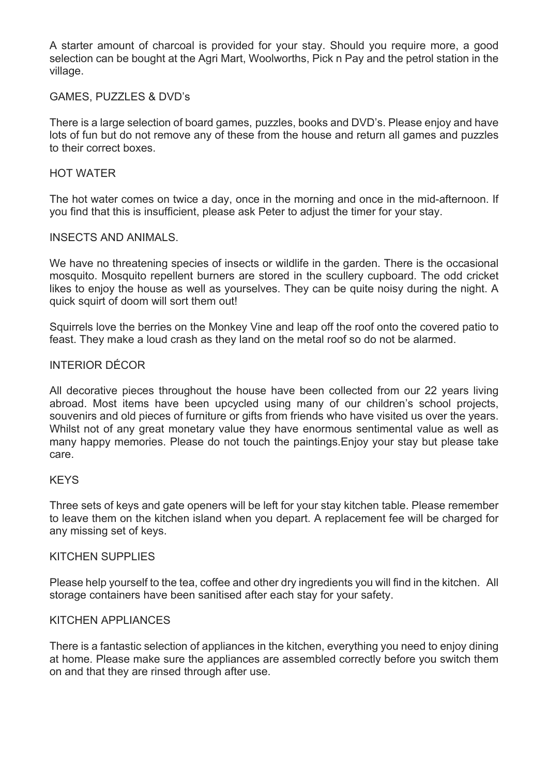A starter amount of charcoal is provided for your stay. Should you require more, a good selection can be bought at the Agri Mart, Woolworths, Pick n Pay and the petrol station in the village.

## GAMES, PUZZLES & DVD's

There is a large selection of board games, puzzles, books and DVD's. Please enjoy and have lots of fun but do not remove any of these from the house and return all games and puzzles to their correct boxes.

## HOT WATER

The hot water comes on twice a day, once in the morning and once in the mid-afternoon. If you find that this is insufficient, please ask Peter to adjust the timer for your stay.

## INSECTS AND ANIMALS.

We have no threatening species of insects or wildlife in the garden. There is the occasional mosquito. Mosquito repellent burners are stored in the scullery cupboard. The odd cricket likes to enjoy the house as well as yourselves. They can be quite noisy during the night. A quick squirt of doom will sort them out!

Squirrels love the berries on the Monkey Vine and leap off the roof onto the covered patio to feast. They make a loud crash as they land on the metal roof so do not be alarmed.

## INTERIOR DÉCOR

All decorative pieces throughout the house have been collected from our 22 years living abroad. Most items have been upcycled using many of our children's school projects, souvenirs and old pieces of furniture or gifts from friends who have visited us over the years. Whilst not of any great monetary value they have enormous sentimental value as well as many happy memories. Please do not touch the paintings.Enjoy your stay but please take care.

# **KFYS**

Three sets of keys and gate openers will be left for your stay kitchen table. Please remember to leave them on the kitchen island when you depart. A replacement fee will be charged for any missing set of keys.

### KITCHEN SUPPLIES

Please help yourself to the tea, coffee and other dry ingredients you will find in the kitchen. All storage containers have been sanitised after each stay for your safety.

## KITCHEN APPLIANCES

There is a fantastic selection of appliances in the kitchen, everything you need to enjoy dining at home. Please make sure the appliances are assembled correctly before you switch them on and that they are rinsed through after use.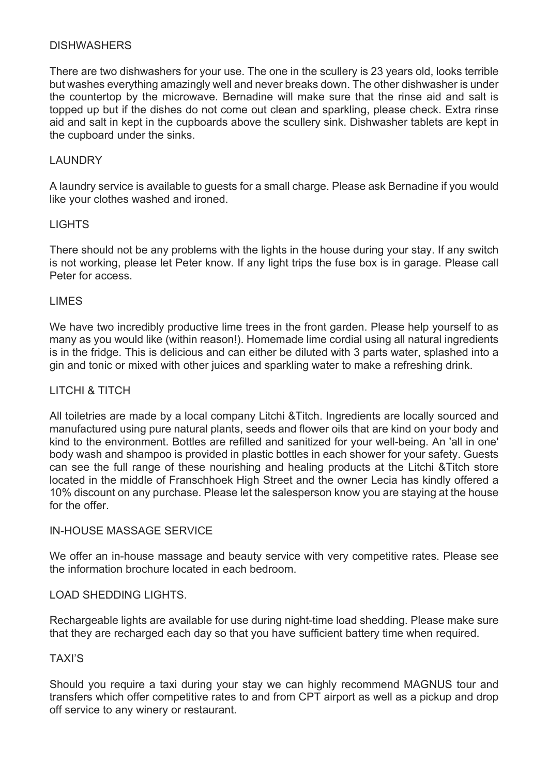# **DISHWASHERS**

There are two dishwashers for your use. The one in the scullery is 23 years old, looks terrible but washes everything amazingly well and never breaks down. The other dishwasher is under the countertop by the microwave. Bernadine will make sure that the rinse aid and salt is topped up but if the dishes do not come out clean and sparkling, please check. Extra rinse aid and salt in kept in the cupboards above the scullery sink. Dishwasher tablets are kept in the cupboard under the sinks.

# LAUNDRY

A laundry service is available to guests for a small charge. Please ask Bernadine if you would like your clothes washed and ironed.

### **LIGHTS**

There should not be any problems with the lights in the house during your stay. If any switch is not working, please let Peter know. If any light trips the fuse box is in garage. Please call Peter for access.

## LIMES

We have two incredibly productive lime trees in the front garden. Please help yourself to as many as you would like (within reason!). Homemade lime cordial using all natural ingredients is in the fridge. This is delicious and can either be diluted with 3 parts water, splashed into a gin and tonic or mixed with other juices and sparkling water to make a refreshing drink.

## LITCHI & TITCH

All toiletries are made by a local company Litchi &Titch. Ingredients are locally sourced and manufactured using pure natural plants, seeds and flower oils that are kind on your body and kind to the environment. Bottles are refilled and sanitized for your well-being. An 'all in one' body wash and shampoo is provided in plastic bottles in each shower for your safety. Guests can see the full range of these nourishing and healing products at the Litchi &Titch store located in the middle of Franschhoek High Street and the owner Lecia has kindly offered a 10% discount on any purchase. Please let the salesperson know you are staying at the house for the offer.

### IN-HOUSE MASSAGE SERVICE

We offer an in-house massage and beauty service with very competitive rates. Please see the information brochure located in each bedroom.

### LOAD SHEDDING LIGHTS.

Rechargeable lights are available for use during night-time load shedding. Please make sure that they are recharged each day so that you have sufficient battery time when required.

### TAXI'S

Should you require a taxi during your stay we can highly recommend MAGNUS tour and transfers which offer competitive rates to and from CPT airport as well as a pickup and drop off service to any winery or restaurant.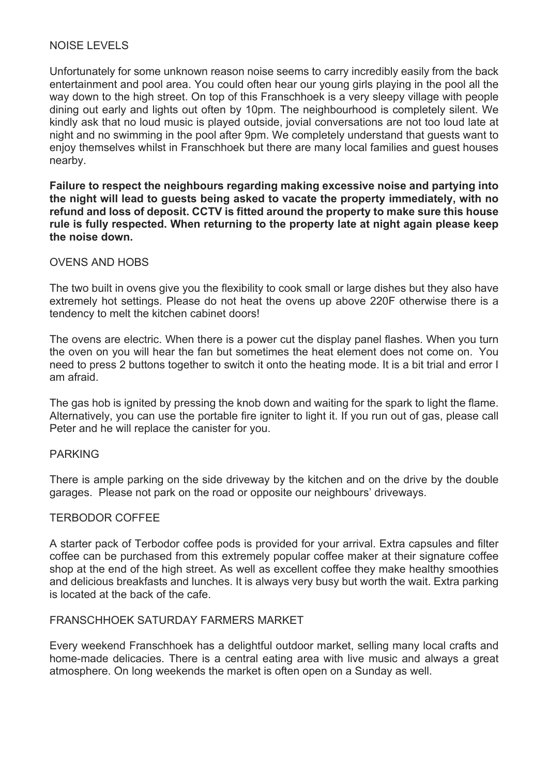# NOISE LEVELS

Unfortunately for some unknown reason noise seems to carry incredibly easily from the back entertainment and pool area. You could often hear our young girls playing in the pool all the way down to the high street. On top of this Franschhoek is a very sleepy village with people dining out early and lights out often by 10pm. The neighbourhood is completely silent. We kindly ask that no loud music is played outside, jovial conversations are not too loud late at night and no swimming in the pool after 9pm. We completely understand that guests want to enjoy themselves whilst in Franschhoek but there are many local families and guest houses nearby.

**Failure to respect the neighbours regarding making excessive noise and partying into the night will lead to guests being asked to vacate the property immediately, with no refund and loss of deposit. CCTV is fitted around the property to make sure this house rule is fully respected. When returning to the property late at night again please keep the noise down.**

## OVENS AND HOBS

The two built in ovens give you the flexibility to cook small or large dishes but they also have extremely hot settings. Please do not heat the ovens up above 220F otherwise there is a tendency to melt the kitchen cabinet doors!

The ovens are electric. When there is a power cut the display panel flashes. When you turn the oven on you will hear the fan but sometimes the heat element does not come on. You need to press 2 buttons together to switch it onto the heating mode. It is a bit trial and error I am afraid.

The gas hob is ignited by pressing the knob down and waiting for the spark to light the flame. Alternatively, you can use the portable fire igniter to light it. If you run out of gas, please call Peter and he will replace the canister for you.

### PARKING

There is ample parking on the side driveway by the kitchen and on the drive by the double garages. Please not park on the road or opposite our neighbours' driveways.

### TERBODOR COFFEE

A starter pack of Terbodor coffee pods is provided for your arrival. Extra capsules and filter coffee can be purchased from this extremely popular coffee maker at their signature coffee shop at the end of the high street. As well as excellent coffee they make healthy smoothies and delicious breakfasts and lunches. It is always very busy but worth the wait. Extra parking is located at the back of the cafe.

# FRANSCHHOEK SATURDAY FARMERS MARKET

Every weekend Franschhoek has a delightful outdoor market, selling many local crafts and home-made delicacies. There is a central eating area with live music and always a great atmosphere. On long weekends the market is often open on a Sunday as well.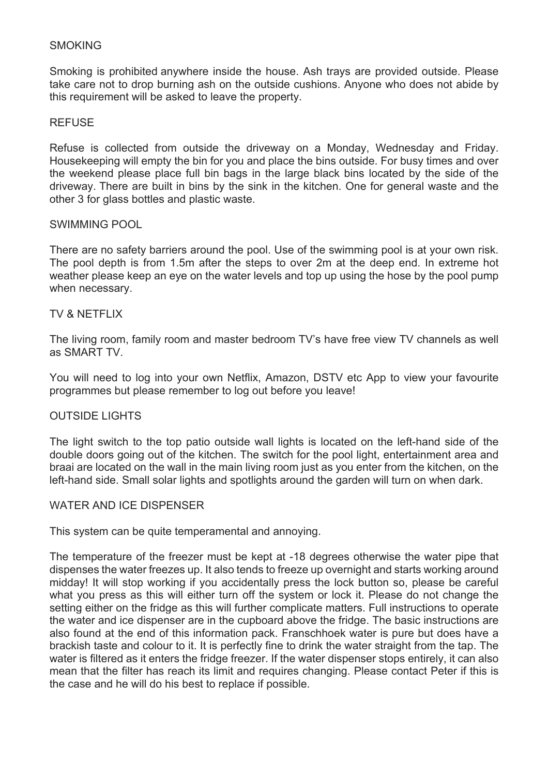## **SMOKING**

Smoking is prohibited anywhere inside the house. Ash trays are provided outside. Please take care not to drop burning ash on the outside cushions. Anyone who does not abide by this requirement will be asked to leave the property.

### **REFUSE**

Refuse is collected from outside the driveway on a Monday, Wednesday and Friday. Housekeeping will empty the bin for you and place the bins outside. For busy times and over the weekend please place full bin bags in the large black bins located by the side of the driveway. There are built in bins by the sink in the kitchen. One for general waste and the other 3 for glass bottles and plastic waste.

## SWIMMING POOL

There are no safety barriers around the pool. Use of the swimming pool is at your own risk. The pool depth is from 1.5m after the steps to over 2m at the deep end. In extreme hot weather please keep an eye on the water levels and top up using the hose by the pool pump when necessary.

## TV & NFTFI IX

The living room, family room and master bedroom TV's have free view TV channels as well as SMART TV.

You will need to log into your own Netflix, Amazon, DSTV etc App to view your favourite programmes but please remember to log out before you leave!

# OUTSIDE LIGHTS

The light switch to the top patio outside wall lights is located on the left-hand side of the double doors going out of the kitchen. The switch for the pool light, entertainment area and braai are located on the wall in the main living room just as you enter from the kitchen, on the left-hand side. Small solar lights and spotlights around the garden will turn on when dark.

### WATER AND ICE DISPENSER

This system can be quite temperamental and annoying.

The temperature of the freezer must be kept at -18 degrees otherwise the water pipe that dispenses the water freezes up. It also tends to freeze up overnight and starts working around midday! It will stop working if you accidentally press the lock button so, please be careful what you press as this will either turn off the system or lock it. Please do not change the setting either on the fridge as this will further complicate matters. Full instructions to operate the water and ice dispenser are in the cupboard above the fridge. The basic instructions are also found at the end of this information pack. Franschhoek water is pure but does have a brackish taste and colour to it. It is perfectly fine to drink the water straight from the tap. The water is filtered as it enters the fridge freezer. If the water dispenser stops entirely, it can also mean that the filter has reach its limit and requires changing. Please contact Peter if this is the case and he will do his best to replace if possible.